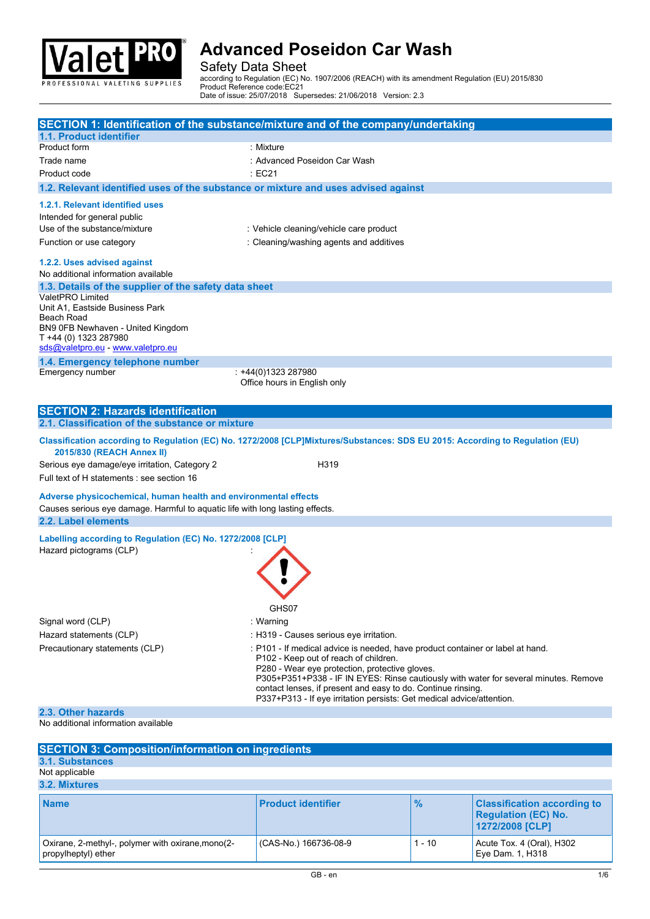

## Safety Data Sheet

| <b>Valet PRO</b>                                                                                                              | <b>Advanced Poseidon Car Wash</b>                                                                                                                                                                                          |               |                                                                                      |
|-------------------------------------------------------------------------------------------------------------------------------|----------------------------------------------------------------------------------------------------------------------------------------------------------------------------------------------------------------------------|---------------|--------------------------------------------------------------------------------------|
| PROFESSIONAL VALETING SUPPLIES                                                                                                | <b>Safety Data Sheet</b><br>according to Regulation (EC) No. 1907/2006 (REACH) with its amendment Regulation (EU) 2015/830<br>Product Reference code:EC21<br>Date of issue: 25/07/2018 Supersedes: 21/06/2018 Version: 2.3 |               |                                                                                      |
| SECTION 1: Identification of the substance/mixture and of the company/undertaking                                             |                                                                                                                                                                                                                            |               |                                                                                      |
| 1.1. Product identifier                                                                                                       |                                                                                                                                                                                                                            |               |                                                                                      |
| Product form<br>Trade name                                                                                                    | : Mixture<br>: Advanced Poseidon Car Wash                                                                                                                                                                                  |               |                                                                                      |
| Product code                                                                                                                  | $\div$ EC21                                                                                                                                                                                                                |               |                                                                                      |
| 1.2. Relevant identified uses of the substance or mixture and uses advised against                                            |                                                                                                                                                                                                                            |               |                                                                                      |
| 1.2.1. Relevant identified uses                                                                                               |                                                                                                                                                                                                                            |               |                                                                                      |
| Intended for general public<br>Use of the substance/mixture                                                                   | : Vehicle cleaning/vehicle care product                                                                                                                                                                                    |               |                                                                                      |
| Function or use category                                                                                                      | : Cleaning/washing agents and additives                                                                                                                                                                                    |               |                                                                                      |
| 1.2.2. Uses advised against                                                                                                   |                                                                                                                                                                                                                            |               |                                                                                      |
| No additional information available                                                                                           |                                                                                                                                                                                                                            |               |                                                                                      |
| 1.3. Details of the supplier of the safety data sheet<br>ValetPRO Limited                                                     |                                                                                                                                                                                                                            |               |                                                                                      |
| Unit A1, Eastside Business Park<br>Beach Road                                                                                 |                                                                                                                                                                                                                            |               |                                                                                      |
| BN9 0FB Newhaven - United Kingdom<br>T +44 (0) 1323 287980                                                                    |                                                                                                                                                                                                                            |               |                                                                                      |
| sds@valetpro.eu - www.valetpro.eu                                                                                             |                                                                                                                                                                                                                            |               |                                                                                      |
| 1.4. Emergency telephone number                                                                                               |                                                                                                                                                                                                                            |               |                                                                                      |
| Emergency number                                                                                                              | : +44(0)1323 287980<br>Office hours in English only                                                                                                                                                                        |               |                                                                                      |
|                                                                                                                               |                                                                                                                                                                                                                            |               |                                                                                      |
| <b>SECTION 2: Hazards identification</b><br>2.1. Classification of the substance or mixture                                   |                                                                                                                                                                                                                            |               |                                                                                      |
| Classification according to Regulation (EC) No. 1272/2008 [CLP]Mixtures/Substances: SDS EU 2015: According to Regulation (EU) |                                                                                                                                                                                                                            |               |                                                                                      |
| 2015/830 (REACH Annex II)                                                                                                     |                                                                                                                                                                                                                            |               |                                                                                      |
| Serious eye damage/eye irritation, Category 2<br>Full text of H statements : see section 16                                   | H319                                                                                                                                                                                                                       |               |                                                                                      |
| Adverse physicochemical, human health and environmental effects                                                               |                                                                                                                                                                                                                            |               |                                                                                      |
| Causes serious eye damage. Harmful to aquatic life with long lasting effects.                                                 |                                                                                                                                                                                                                            |               |                                                                                      |
| 2.2. Label elements                                                                                                           |                                                                                                                                                                                                                            |               |                                                                                      |
| Labelling according to Regulation (EC) No. 1272/2008 [CLP]<br>Hazard pictograms (CLP)                                         |                                                                                                                                                                                                                            |               |                                                                                      |
|                                                                                                                               |                                                                                                                                                                                                                            |               |                                                                                      |
|                                                                                                                               |                                                                                                                                                                                                                            |               |                                                                                      |
|                                                                                                                               |                                                                                                                                                                                                                            |               |                                                                                      |
|                                                                                                                               | GHS07                                                                                                                                                                                                                      |               |                                                                                      |
| Signal word (CLP)<br>Hazard statements (CLP)                                                                                  | : Warning<br>: H319 - Causes serious eye irritation.                                                                                                                                                                       |               |                                                                                      |
| Precautionary statements (CLP)                                                                                                | : P101 - If medical advice is needed, have product container or label at hand.                                                                                                                                             |               |                                                                                      |
|                                                                                                                               | P102 - Keep out of reach of children.<br>P280 - Wear eye protection, protective gloves.                                                                                                                                    |               |                                                                                      |
|                                                                                                                               | contact lenses, if present and easy to do. Continue rinsing.                                                                                                                                                               |               | P305+P351+P338 - IF IN EYES: Rinse cautiously with water for several minutes. Remove |
|                                                                                                                               | P337+P313 - If eye irritation persists: Get medical advice/attention.                                                                                                                                                      |               |                                                                                      |
| 2.3. Other hazards<br>No additional information available                                                                     |                                                                                                                                                                                                                            |               |                                                                                      |
|                                                                                                                               |                                                                                                                                                                                                                            |               |                                                                                      |
| <b>SECTION 3: Composition/information on ingredients</b><br>3.1. Substances                                                   |                                                                                                                                                                                                                            |               |                                                                                      |
| Not applicable                                                                                                                |                                                                                                                                                                                                                            |               |                                                                                      |
| 3.2. Mixtures                                                                                                                 |                                                                                                                                                                                                                            |               |                                                                                      |
| <b>Name</b>                                                                                                                   | <b>Product identifier</b>                                                                                                                                                                                                  | $\frac{9}{6}$ | <b>Classification according to</b><br><b>Regulation (EC) No.</b>                     |
| Oxirane, 2-methyl-, polymer with oxirane, mono(2-                                                                             | (CAS-No.) 166736-08-9                                                                                                                                                                                                      | $1 - 10$      | 1272/2008 [CLP]<br>Acute Tox. 4 (Oral), H302                                         |
| propylheptyl) ether                                                                                                           |                                                                                                                                                                                                                            |               | Eye Dam. 1, H318                                                                     |
|                                                                                                                               | GB - en                                                                                                                                                                                                                    |               |                                                                                      |
|                                                                                                                               |                                                                                                                                                                                                                            |               |                                                                                      |
|                                                                                                                               |                                                                                                                                                                                                                            |               |                                                                                      |
|                                                                                                                               |                                                                                                                                                                                                                            |               |                                                                                      |
|                                                                                                                               |                                                                                                                                                                                                                            |               |                                                                                      |

| <b>SECTION 3: Composition/information on ingredients</b>                 |                           |               |                                                                                     |
|--------------------------------------------------------------------------|---------------------------|---------------|-------------------------------------------------------------------------------------|
| 3.1. Substances                                                          |                           |               |                                                                                     |
| Not applicable                                                           |                           |               |                                                                                     |
| 3.2. Mixtures                                                            |                           |               |                                                                                     |
| <b>Name</b>                                                              | <b>Product identifier</b> | $\frac{1}{2}$ | <b>Classification according to</b><br><b>Regulation (EC) No.</b><br>1272/2008 [CLP] |
| Oxirane, 2-methyl-, polymer with oxirane, mono(2-<br>propylheptyl) ether | (CAS-No.) 166736-08-9     | $1 - 10$      | Acute Tox. 4 (Oral), H302<br>Eye Dam. 1, H318                                       |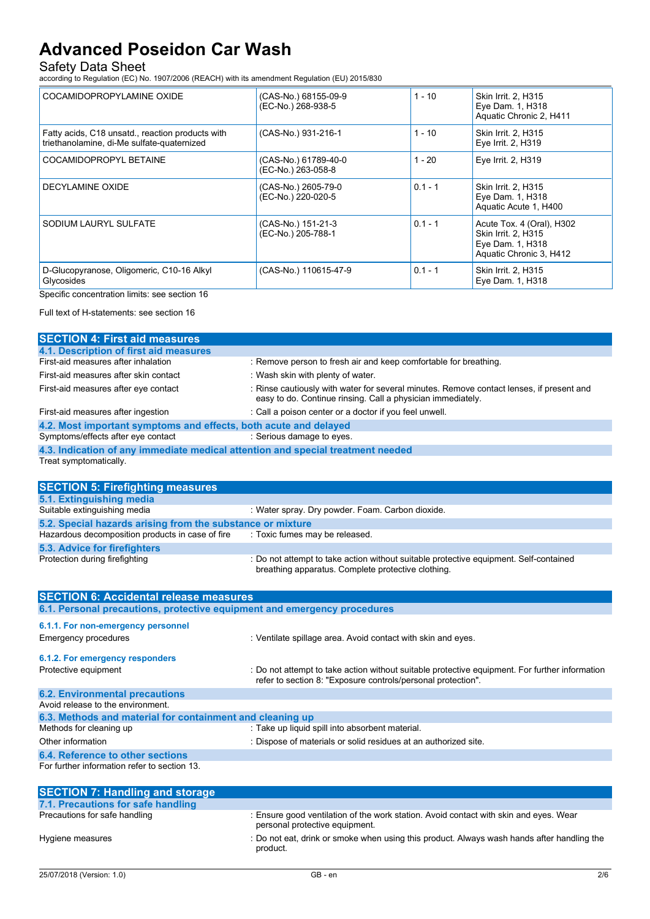## Safety Data Sheet

| <b>Advanced Poseidon Car Wash</b>                                                                         |                                                                                                       |           |                                                                                                 |
|-----------------------------------------------------------------------------------------------------------|-------------------------------------------------------------------------------------------------------|-----------|-------------------------------------------------------------------------------------------------|
| <b>Safety Data Sheet</b>                                                                                  |                                                                                                       |           |                                                                                                 |
| according to Regulation (EC) No. 1907/2006 (REACH) with its amendment Regulation (EU) 2015/830            |                                                                                                       |           |                                                                                                 |
| COCAMIDOPROPYLAMINE OXIDE                                                                                 | (CAS-No.) 68155-09-9<br>(EC-No.) 268-938-5                                                            | $1 - 10$  | Skin Irrit. 2, H315<br>Eye Dam. 1, H318<br>Aquatic Chronic 2, H411                              |
| Fatty acids, C18 unsatd., reaction products with<br>triethanolamine, di-Me sulfate-quaternized            | (CAS-No.) 931-216-1                                                                                   | $1 - 10$  | Skin Irrit. 2, H315<br>Eye Irrit. 2, H319                                                       |
| COCAMIDOPROPYL BETAINE                                                                                    | (CAS-No.) 61789-40-0<br>(EC-No.) 263-058-8                                                            | $1 - 20$  | Eye Irrit. 2, H319                                                                              |
| DECYLAMINE OXIDE                                                                                          | (CAS-No.) 2605-79-0<br>(EC-No.) 220-020-5                                                             | $0.1 - 1$ | Skin Irrit. 2, H315<br>Eye Dam. 1, H318<br>Aquatic Acute 1, H400                                |
| SODIUM LAURYL SULFATE                                                                                     | (CAS-No.) 151-21-3<br>(EC-No.) 205-788-1                                                              | $0.1 - 1$ | Acute Tox. 4 (Oral), H302<br>Skin Irrit. 2, H315<br>Eye Dam. 1, H318<br>Aquatic Chronic 3, H412 |
| D-Glucopyranose, Oligomeric, C10-16 Alkyl<br>Glycosides                                                   | (CAS-No.) 110615-47-9                                                                                 | $0.1 - 1$ | Skin Irrit. 2, H315<br>Eye Dam. 1, H318                                                         |
| Specific concentration limits: see section 16                                                             |                                                                                                       |           |                                                                                                 |
| Full text of H-statements: see section 16                                                                 |                                                                                                       |           |                                                                                                 |
| <b>SECTION 4: First aid measures</b>                                                                      |                                                                                                       |           |                                                                                                 |
| 4.1. Description of first aid measures                                                                    |                                                                                                       |           |                                                                                                 |
| First-aid measures after inhalation<br>First-aid measures after skin contact                              | : Remove person to fresh air and keep comfortable for breathing.<br>: Wash skin with plenty of water. |           |                                                                                                 |
| First-aid measures after eye contact                                                                      |                                                                                                       |           | : Rinse cautiously with water for several minutes. Remove contact lenses, if present and        |
|                                                                                                           | easy to do. Continue rinsing. Call a physician immediately.                                           |           |                                                                                                 |
| First-aid measures after ingestion                                                                        | : Call a poison center or a doctor if you feel unwell.                                                |           |                                                                                                 |
| 4.2. Most important symptoms and effects, both acute and delayed<br>Symptoms/effects after eye contact    | : Serious damage to eyes.                                                                             |           |                                                                                                 |
| 4.3. Indication of any immediate medical attention and special treatment needed<br>Treat symptomatically. |                                                                                                       |           |                                                                                                 |
|                                                                                                           |                                                                                                       |           |                                                                                                 |
|                                                                                                           |                                                                                                       |           |                                                                                                 |

| COCAMIDOPROPYL BETAINE                                                                                         | (CAS-No.) 61789-40-0<br>(EC-No.) 263-058-8                                                                                                  | $1 - 20$  | Eye Irrit. 2, H319                                                                              |
|----------------------------------------------------------------------------------------------------------------|---------------------------------------------------------------------------------------------------------------------------------------------|-----------|-------------------------------------------------------------------------------------------------|
| DECYLAMINE OXIDE                                                                                               | (CAS-No.) 2605-79-0<br>(EC-No.) 220-020-5                                                                                                   | $0.1 - 1$ | Skin Irrit. 2, H315<br>Eye Dam. 1, H318<br>Aquatic Acute 1, H400                                |
| SODIUM LAURYL SULFATE                                                                                          | (CAS-No.) 151-21-3<br>(EC-No.) 205-788-1                                                                                                    | $0.1 - 1$ | Acute Tox. 4 (Oral), H302<br>Skin Irrit. 2, H315<br>Eye Dam. 1, H318<br>Aquatic Chronic 3, H412 |
| D-Glucopyranose, Oligomeric, C10-16 Alkyl<br>Glycosides                                                        | (CAS-No.) 110615-47-9                                                                                                                       | $0.1 - 1$ | Skin Irrit. 2, H315<br>Eye Dam. 1, H318                                                         |
| Specific concentration limits: see section 16                                                                  |                                                                                                                                             |           |                                                                                                 |
| Full text of H-statements: see section 16                                                                      |                                                                                                                                             |           |                                                                                                 |
| <b>SECTION 4: First aid measures</b>                                                                           |                                                                                                                                             |           |                                                                                                 |
| 4.1. Description of first aid measures                                                                         |                                                                                                                                             |           |                                                                                                 |
| First-aid measures after inhalation                                                                            | : Remove person to fresh air and keep comfortable for breathing.                                                                            |           |                                                                                                 |
| First-aid measures after skin contact                                                                          | : Wash skin with plenty of water.                                                                                                           |           |                                                                                                 |
| First-aid measures after eye contact                                                                           | easy to do. Continue rinsing. Call a physician immediately.                                                                                 |           | : Rinse cautiously with water for several minutes. Remove contact lenses, if present and        |
| First-aid measures after ingestion                                                                             | : Call a poison center or a doctor if you feel unwell.                                                                                      |           |                                                                                                 |
| 4.2. Most important symptoms and effects, both acute and delayed                                               |                                                                                                                                             |           |                                                                                                 |
| Symptoms/effects after eye contact                                                                             | : Serious damage to eyes.                                                                                                                   |           |                                                                                                 |
| 4.3. Indication of any immediate medical attention and special treatment needed<br>Treat symptomatically.      |                                                                                                                                             |           |                                                                                                 |
| <b>SECTION 5: Firefighting measures</b>                                                                        |                                                                                                                                             |           |                                                                                                 |
| 5.1. Extinguishing media                                                                                       |                                                                                                                                             |           |                                                                                                 |
| Suitable extinguishing media                                                                                   | : Water spray. Dry powder. Foam. Carbon dioxide.                                                                                            |           |                                                                                                 |
| 5.2. Special hazards arising from the substance or mixture<br>Hazardous decomposition products in case of fire | : Toxic fumes may be released.                                                                                                              |           |                                                                                                 |
| 5.3. Advice for firefighters                                                                                   |                                                                                                                                             |           |                                                                                                 |
| Protection during firefighting                                                                                 | : Do not attempt to take action without suitable protective equipment. Self-contained<br>breathing apparatus. Complete protective clothing. |           |                                                                                                 |
| <b>SECTION 6: Accidental release measures</b>                                                                  |                                                                                                                                             |           |                                                                                                 |
| 6.1. Personal precautions, protective equipment and emergency procedures                                       |                                                                                                                                             |           |                                                                                                 |
| 6.1.1. For non-emergency personnel                                                                             |                                                                                                                                             |           |                                                                                                 |
| Emergency procedures                                                                                           | : Ventilate spillage area. Avoid contact with skin and eyes.                                                                                |           |                                                                                                 |
| 6.1.2. For emergency responders                                                                                |                                                                                                                                             |           |                                                                                                 |
| Protective equipment                                                                                           | refer to section 8: "Exposure controls/personal protection".                                                                                |           | : Do not attempt to take action without suitable protective equipment. For further information  |
| <b>6.2. Environmental precautions</b>                                                                          |                                                                                                                                             |           |                                                                                                 |
| Avoid release to the environment.                                                                              |                                                                                                                                             |           |                                                                                                 |
| 6.3. Methods and material for containment and cleaning up                                                      |                                                                                                                                             |           |                                                                                                 |
| Methods for cleaning up                                                                                        | : Take up liquid spill into absorbent material.                                                                                             |           |                                                                                                 |
|                                                                                                                |                                                                                                                                             |           |                                                                                                 |

| Treat symptomatically.                                                   | 4.3. Indication of any immediate medical attention and special treatment needed                                                                                |
|--------------------------------------------------------------------------|----------------------------------------------------------------------------------------------------------------------------------------------------------------|
| <b>SECTION 5: Firefighting measures</b>                                  |                                                                                                                                                                |
| 5.1. Extinguishing media                                                 |                                                                                                                                                                |
| Suitable extinguishing media                                             | : Water spray. Dry powder. Foam. Carbon dioxide.                                                                                                               |
| 5.2. Special hazards arising from the substance or mixture               |                                                                                                                                                                |
| Hazardous decomposition products in case of fire                         | : Toxic fumes may be released.                                                                                                                                 |
| 5.3. Advice for firefighters                                             |                                                                                                                                                                |
| Protection during firefighting                                           | : Do not attempt to take action without suitable protective equipment. Self-contained<br>breathing apparatus. Complete protective clothing.                    |
| <b>SECTION 6: Accidental release measures</b>                            |                                                                                                                                                                |
| 6.1. Personal precautions, protective equipment and emergency procedures |                                                                                                                                                                |
| 6.1.1. For non-emergency personnel                                       |                                                                                                                                                                |
| Emergency procedures                                                     | : Ventilate spillage area. Avoid contact with skin and eyes.                                                                                                   |
| 6.1.2. For emergency responders                                          |                                                                                                                                                                |
| Protective equipment                                                     | : Do not attempt to take action without suitable protective equipment. For further information<br>refer to section 8: "Exposure controls/personal protection". |
| <b>6.2. Environmental precautions</b>                                    |                                                                                                                                                                |
| Avoid release to the environment.                                        |                                                                                                                                                                |
| 6.3. Methods and material for containment and cleaning up                |                                                                                                                                                                |
| Methods for cleaning up                                                  | : Take up liquid spill into absorbent material.                                                                                                                |
| Other information                                                        | : Dispose of materials or solid residues at an authorized site.                                                                                                |
| 6.4. Reference to other sections                                         |                                                                                                                                                                |
| For further information refer to section 13.                             |                                                                                                                                                                |
| <b>SECTION 7: Handling and storage</b>                                   |                                                                                                                                                                |
| 7.1. Precautions for safe handling                                       |                                                                                                                                                                |
| Precautions for safe handling                                            | : Ensure good ventilation of the work station. Avoid contact with skin and eyes. Wear<br>personal protective equipment.                                        |
| Hygiene measures                                                         | : Do not eat, drink or smoke when using this product. Always wash hands after handling the<br>product.                                                         |
|                                                                          |                                                                                                                                                                |

| <b>SECTION 7: Handling and storage</b> |                                                                                                                         |
|----------------------------------------|-------------------------------------------------------------------------------------------------------------------------|
| 7.1. Precautions for safe handling     |                                                                                                                         |
| Precautions for safe handling          | : Ensure good ventilation of the work station. Avoid contact with skin and eyes. Wear<br>personal protective equipment. |
| Hygiene measures                       | : Do not eat, drink or smoke when using this product. Always wash hands after handling the<br>product.                  |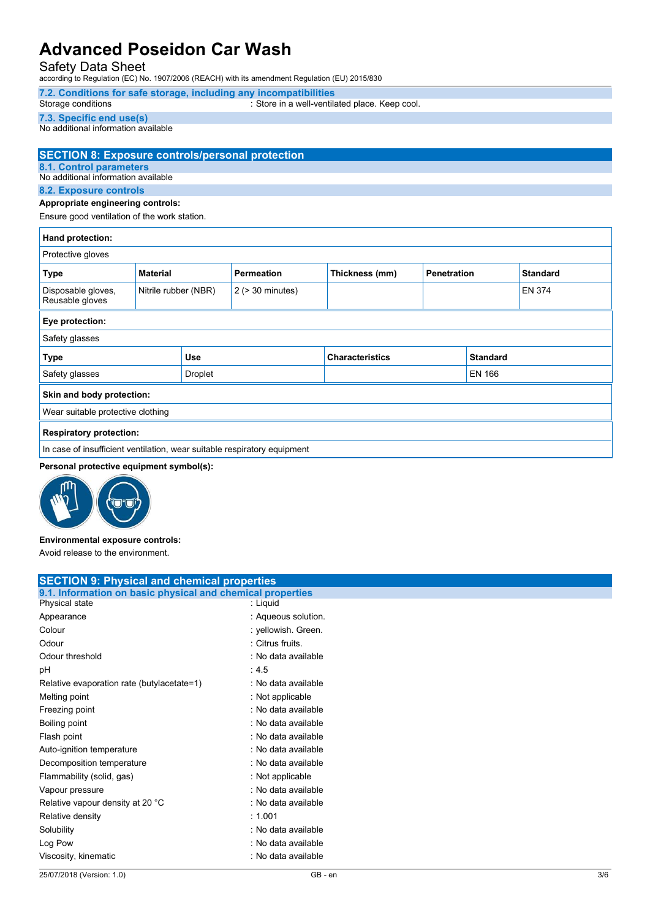## Safety Data Sheet

# 7.2. Conditions for safe storage, including any incompatibilities<br>Storage conditions Storage conditions Store in a well-ventilated place. Keep cool.

#### 7.3. Specific end use(s)

# **Advanced Poseidon Car Wash**<br>
Safety Data Sheet<br>
according to Regulation (EC) No. 1907/2006 (REACH) with its amendment Regulation (EU) 2015/830<br>
T.2. Conditions for safe storage, including any incompatibilities<br>
Store in a SECTION 8: Exposure controls/personal protection 8.1. Control parameters

#### 8.2. Exposure controls

#### Appropriate engineering controls:

| <b>Advanced Poseidon Car Wash</b><br><b>Safety Data Sheet</b>                                                                    |                      | according to Regulation (EC) No. 1907/2006 (REACH) with its amendment Regulation (EU) 2015/830 |                                                |             |                 |                 |
|----------------------------------------------------------------------------------------------------------------------------------|----------------------|------------------------------------------------------------------------------------------------|------------------------------------------------|-------------|-----------------|-----------------|
| Storage conditions                                                                                                               |                      | 7.2. Conditions for safe storage, including any incompatibilities                              | : Store in a well-ventilated place. Keep cool. |             |                 |                 |
| 7.3. Specific end use(s)<br>No additional information available                                                                  |                      |                                                                                                |                                                |             |                 |                 |
| <b>SECTION 8: Exposure controls/personal protection</b><br><b>8.1. Control parameters</b><br>No additional information available |                      |                                                                                                |                                                |             |                 |                 |
| 8.2. Exposure controls                                                                                                           |                      |                                                                                                |                                                |             |                 |                 |
| Appropriate engineering controls:<br>Ensure good ventilation of the work station.                                                |                      |                                                                                                |                                                |             |                 |                 |
| Hand protection:                                                                                                                 |                      |                                                                                                |                                                |             |                 |                 |
| Protective gloves                                                                                                                |                      |                                                                                                |                                                |             |                 |                 |
| <b>Type</b>                                                                                                                      | <b>Material</b>      | <b>Permeation</b>                                                                              | Thickness (mm)                                 | Penetration |                 | <b>Standard</b> |
| Disposable gloves,<br>Reusable gloves                                                                                            | Nitrile rubber (NBR) | $2$ ( $>$ 30 minutes)                                                                          |                                                |             |                 | EN 374          |
| Eye protection:                                                                                                                  |                      |                                                                                                |                                                |             |                 |                 |
| Safety glasses                                                                                                                   |                      |                                                                                                |                                                |             |                 |                 |
| Type                                                                                                                             | Use                  |                                                                                                | <b>Characteristics</b>                         |             | <b>Standard</b> |                 |
| Safety glasses                                                                                                                   | <b>Droplet</b>       |                                                                                                |                                                |             | <b>EN 166</b>   |                 |
| Skin and body protection:                                                                                                        |                      |                                                                                                |                                                |             |                 |                 |
| Wear suitable protective clothing                                                                                                |                      |                                                                                                |                                                |             |                 |                 |
| <b>Respiratory protection:</b>                                                                                                   |                      |                                                                                                |                                                |             |                 |                 |
| In case of insufficient ventilation, wear suitable respiratory equipment                                                         |                      |                                                                                                |                                                |             |                 |                 |
| Personal protective equipment symbol(s):                                                                                         |                      |                                                                                                |                                                |             |                 |                 |
|                                                                                                                                  |                      |                                                                                                |                                                |             |                 |                 |
| Environmental exposure controls:                                                                                                 |                      |                                                                                                |                                                |             |                 |                 |
| Avoid release to the environment.                                                                                                |                      |                                                                                                |                                                |             |                 |                 |
| <b>SECTION 9: Physical and chemical properties</b>                                                                               |                      |                                                                                                |                                                |             |                 |                 |
| 9.1. Information on basic physical and chemical properties                                                                       |                      |                                                                                                |                                                |             |                 |                 |
| Physical state                                                                                                                   |                      | : Liquid                                                                                       |                                                |             |                 |                 |
| Appearance                                                                                                                       |                      | : Aqueous solution.                                                                            |                                                |             |                 |                 |
| Colour                                                                                                                           |                      | : yellowish. Green.                                                                            |                                                |             |                 |                 |
| Odour<br>Odour threshold                                                                                                         |                      | : Citrus fruits.<br>: No data available                                                        |                                                |             |                 |                 |
| pH                                                                                                                               |                      | :4.5                                                                                           |                                                |             |                 |                 |
| Relative evaporation rate (butylacetate=1)                                                                                       |                      | : No data available                                                                            |                                                |             |                 |                 |

#### Personal protective equipment symbol(s):



#### Environmental exposure controls:

| <b>Type</b>                                        | Use                                                                      | <b>Characteristics</b> | <b>Standard</b> |
|----------------------------------------------------|--------------------------------------------------------------------------|------------------------|-----------------|
| Safety glasses                                     | Droplet                                                                  |                        | <b>EN 166</b>   |
| Skin and body protection:                          |                                                                          |                        |                 |
| Wear suitable protective clothing                  |                                                                          |                        |                 |
| <b>Respiratory protection:</b>                     |                                                                          |                        |                 |
|                                                    | In case of insufficient ventilation, wear suitable respiratory equipment |                        |                 |
| Personal protective equipment symbol(s):           |                                                                          |                        |                 |
|                                                    |                                                                          |                        |                 |
| Environmental exposure controls:                   |                                                                          |                        |                 |
| Avoid release to the environment.                  |                                                                          |                        |                 |
| <b>SECTION 9: Physical and chemical properties</b> | 9.1. Information on basic physical and chemical properties               |                        |                 |
| Physical state                                     | : Liquid                                                                 |                        |                 |
| Appearance                                         | : Aqueous solution.                                                      |                        |                 |
| Colour                                             | : yellowish. Green.                                                      |                        |                 |
| Odour                                              | : Citrus fruits.                                                         |                        |                 |
| Odour threshold                                    | : No data available                                                      |                        |                 |
| pH                                                 | :4.5                                                                     |                        |                 |
| Relative evaporation rate (butylacetate=1)         | : No data available                                                      |                        |                 |
| Melting point                                      | : Not applicable                                                         |                        |                 |
| Freezing point                                     | : No data available                                                      |                        |                 |
| Boiling point                                      | : No data available                                                      |                        |                 |
| Flash point                                        | : No data available                                                      |                        |                 |
| Auto-ignition temperature                          | : No data available                                                      |                        |                 |
| Decomposition temperature                          | : No data available                                                      |                        |                 |
| Flammability (solid, gas)                          | : Not applicable                                                         |                        |                 |
| Vapour pressure                                    | : No data available                                                      |                        |                 |
| Relative vapour density at 20 °C                   | : No data available                                                      |                        |                 |
| Relative density                                   | : 1.001                                                                  |                        |                 |
| Solubility                                         | : No data available                                                      |                        |                 |
| Log Pow                                            | : No data available                                                      |                        |                 |
| Viscosity, kinematic                               | : No data available                                                      |                        |                 |
| 25/07/2018 (Version: 1.0)                          |                                                                          | $GB - en$              | 3/6             |
|                                                    |                                                                          |                        |                 |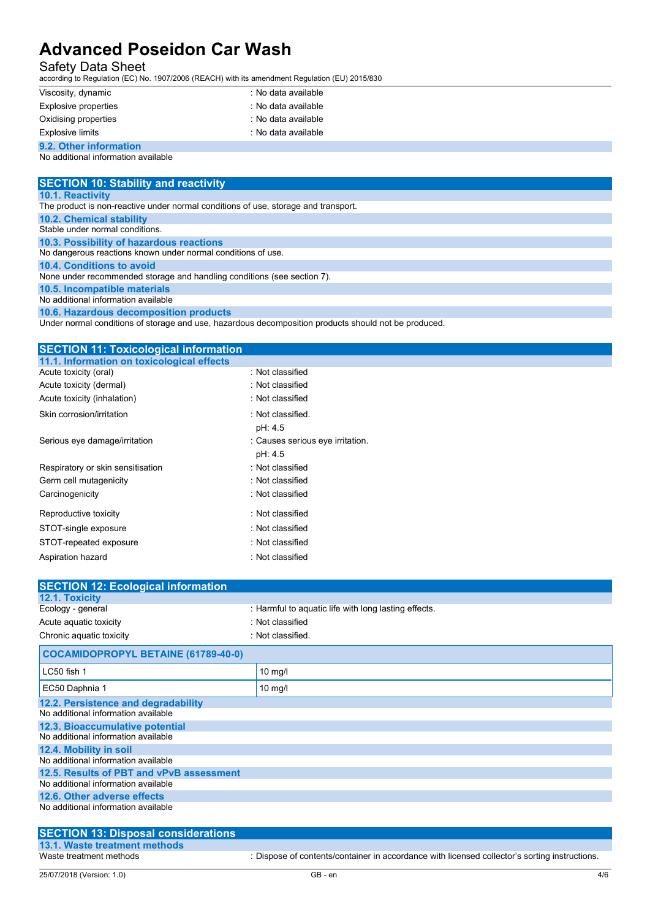## Safety Data Sheet

| <b>Advanced Poseidon Car Wash</b>                                                                                          |                     |  |
|----------------------------------------------------------------------------------------------------------------------------|---------------------|--|
| <b>Safety Data Sheet</b><br>according to Regulation (EC) No. 1907/2006 (REACH) with its amendment Regulation (EU) 2015/830 |                     |  |
| Viscosity, dynamic                                                                                                         | : No data available |  |
| <b>Explosive properties</b>                                                                                                | : No data available |  |
| Oxidising properties                                                                                                       | : No data available |  |
| <b>Explosive limits</b>                                                                                                    | : No data available |  |
| 9.2. Other information                                                                                                     |                     |  |
| No additional information available                                                                                        |                     |  |
|                                                                                                                            |                     |  |
| <b>SECTION 10: Stability and reactivity</b>                                                                                |                     |  |

#### 9.2. Other information No additional information available

| <b>Advanced Poseidon Car Wash</b>                                                              |                                                                                                      |  |
|------------------------------------------------------------------------------------------------|------------------------------------------------------------------------------------------------------|--|
| <b>Safety Data Sheet</b>                                                                       |                                                                                                      |  |
| according to Regulation (EC) No. 1907/2006 (REACH) with its amendment Regulation (EU) 2015/830 |                                                                                                      |  |
| Viscosity, dynamic                                                                             | : No data available                                                                                  |  |
| <b>Explosive properties</b>                                                                    | : No data available                                                                                  |  |
| Oxidising properties                                                                           | : No data available                                                                                  |  |
| <b>Explosive limits</b>                                                                        | : No data available                                                                                  |  |
| 9.2. Other information                                                                         |                                                                                                      |  |
| No additional information available                                                            |                                                                                                      |  |
|                                                                                                |                                                                                                      |  |
| <b>SECTION 10: Stability and reactivity</b><br>10.1. Reactivity                                |                                                                                                      |  |
| The product is non-reactive under normal conditions of use, storage and transport.             |                                                                                                      |  |
| <b>10.2. Chemical stability</b>                                                                |                                                                                                      |  |
| Stable under normal conditions.                                                                |                                                                                                      |  |
| 10.3. Possibility of hazardous reactions                                                       |                                                                                                      |  |
| No dangerous reactions known under normal conditions of use.<br>10.4. Conditions to avoid      |                                                                                                      |  |
| None under recommended storage and handling conditions (see section 7).                        |                                                                                                      |  |
| 10.5. Incompatible materials                                                                   |                                                                                                      |  |
|                                                                                                |                                                                                                      |  |
| No additional information available                                                            |                                                                                                      |  |
| 10.6. Hazardous decomposition products                                                         |                                                                                                      |  |
|                                                                                                | Under normal conditions of storage and use, hazardous decomposition products should not be produced. |  |
|                                                                                                |                                                                                                      |  |
| <b>SECTION 11: Toxicological information</b>                                                   |                                                                                                      |  |
| 11.1. Information on toxicological effects<br>Acute toxicity (oral)                            | : Not classified                                                                                     |  |
| Acute toxicity (dermal)                                                                        | : Not classified                                                                                     |  |
| Acute toxicity (inhalation)                                                                    | : Not classified                                                                                     |  |
| Skin corrosion/irritation                                                                      | : Not classified.                                                                                    |  |
|                                                                                                | pH: 4.5                                                                                              |  |
| Serious eye damage/irritation                                                                  | : Causes serious eye irritation.                                                                     |  |
|                                                                                                | pH: 4.5                                                                                              |  |
| Respiratory or skin sensitisation                                                              | : Not classified                                                                                     |  |

| No additional information available                                                                  |                                                                          |
|------------------------------------------------------------------------------------------------------|--------------------------------------------------------------------------|
| <b>SECTION 10: Stability and reactivity</b>                                                          |                                                                          |
| 10.1. Reactivity                                                                                     |                                                                          |
| The product is non-reactive under normal conditions of use, storage and transport.                   |                                                                          |
| 10.2. Chemical stability<br>Stable under normal conditions.                                          |                                                                          |
| 10.3. Possibility of hazardous reactions                                                             |                                                                          |
| No dangerous reactions known under normal conditions of use.                                         |                                                                          |
| 10.4. Conditions to avoid                                                                            |                                                                          |
| None under recommended storage and handling conditions (see section 7).                              |                                                                          |
| 10.5. Incompatible materials<br>No additional information available                                  |                                                                          |
| 10.6. Hazardous decomposition products                                                               |                                                                          |
| Under normal conditions of storage and use, hazardous decomposition products should not be produced. |                                                                          |
|                                                                                                      |                                                                          |
| <b>SECTION 11: Toxicological information</b>                                                         |                                                                          |
| 11.1. Information on toxicological effects                                                           |                                                                          |
| Acute toxicity (oral)                                                                                | : Not classified                                                         |
| Acute toxicity (dermal)                                                                              | : Not classified                                                         |
| Acute toxicity (inhalation)                                                                          | : Not classified                                                         |
| Skin corrosion/irritation                                                                            | : Not classified.                                                        |
|                                                                                                      | pH: 4.5                                                                  |
| Serious eye damage/irritation                                                                        | : Causes serious eye irritation.                                         |
|                                                                                                      | pH: 4.5                                                                  |
| Respiratory or skin sensitisation                                                                    | : Not classified                                                         |
| Germ cell mutagenicity                                                                               | : Not classified                                                         |
| Carcinogenicity                                                                                      | : Not classified                                                         |
| Reproductive toxicity                                                                                | : Not classified                                                         |
| STOT-single exposure                                                                                 | : Not classified                                                         |
| STOT-repeated exposure                                                                               | : Not classified                                                         |
| Aspiration hazard                                                                                    | : Not classified                                                         |
|                                                                                                      |                                                                          |
| <b>SECTION 12: Ecological information</b>                                                            |                                                                          |
| 12.1. Toxicity                                                                                       |                                                                          |
| Ecology - general                                                                                    | : Harmful to aquatic life with long lasting effects.<br>: Not classified |
| Acute aquatic toxicity                                                                               |                                                                          |
| Chronic aquatic toxicity                                                                             | : Not classified.                                                        |
| <b>COCAMIDOPROPYL BETAINE (61789-40-0)</b>                                                           |                                                                          |
| LC50 fish 1                                                                                          | 10 mg/l                                                                  |
| EC50 Daphnia 1                                                                                       | 10 mg/l                                                                  |
| 12.2. Persistence and degradability<br>No additional information available                           |                                                                          |
| 12.3. Bioaccumulative potential                                                                      |                                                                          |
| No additional information available                                                                  |                                                                          |

| 25/07/2018 (Version: 1.0)                                                       | GB - en                                                                                       | 4/6 |
|---------------------------------------------------------------------------------|-----------------------------------------------------------------------------------------------|-----|
| 13.1. Waste treatment methods<br>Waste treatment methods                        | : Dispose of contents/container in accordance with licensed collector's sorting instructions. |     |
| <b>SECTION 13: Disposal considerations</b>                                      |                                                                                               |     |
|                                                                                 |                                                                                               |     |
| No additional information available                                             |                                                                                               |     |
| 12.6. Other adverse effects                                                     |                                                                                               |     |
| No additional information available                                             |                                                                                               |     |
| No additional information available<br>12.5. Results of PBT and vPvB assessment |                                                                                               |     |
| 12.4. Mobility in soil                                                          |                                                                                               |     |
| No additional information available                                             |                                                                                               |     |
| 12.3. Bioaccumulative potential                                                 |                                                                                               |     |
| No additional information available                                             |                                                                                               |     |
| 12.2. Persistence and degradability                                             |                                                                                               |     |
| EC50 Daphnia 1                                                                  | 10 mg/l                                                                                       |     |
| LC50 fish 1                                                                     | 10 mg/l                                                                                       |     |
| <b>COCAMIDOPROPYL BETAINE (61789-40-0)</b>                                      |                                                                                               |     |
| Chronic aquatic toxicity                                                        | : Not classified.                                                                             |     |
| Acute aquatic toxicity                                                          | : Not classified                                                                              |     |
| Ecology - general                                                               | : Harmful to aquatic life with long lasting effects.                                          |     |
| 12.1. Toxicity                                                                  |                                                                                               |     |
| <b>SECTION 12: Ecological information</b>                                       |                                                                                               |     |
| Aspiration hazard                                                               | : Not classified                                                                              |     |
| STOT-repeated exposure                                                          | : Not classified                                                                              |     |
| STOT-single exposure                                                            | : Not classified                                                                              |     |
| Reproductive toxicity                                                           | : Not classified                                                                              |     |
|                                                                                 |                                                                                               |     |
| Carcinogenicity                                                                 | : Not classified                                                                              |     |
| Germ cell mutagenicity                                                          | : Not classified                                                                              |     |
| Respiratory or skin sensitisation                                               | : Not classified                                                                              |     |
|                                                                                 | pH: 4.5                                                                                       |     |
| Serious eye damage/irritation                                                   | : Causes serious eye irritation.                                                              |     |
|                                                                                 | pH: 4.5                                                                                       |     |
| Skin corrosion/irritation                                                       | : Not classified.                                                                             |     |
|                                                                                 |                                                                                               |     |

## SECTION 13: Disposal considerations 13.1. Waste treatment methods<br>Waste treatment methods : Dispose of contents/container in accordance with licensed collector's sorting instructions.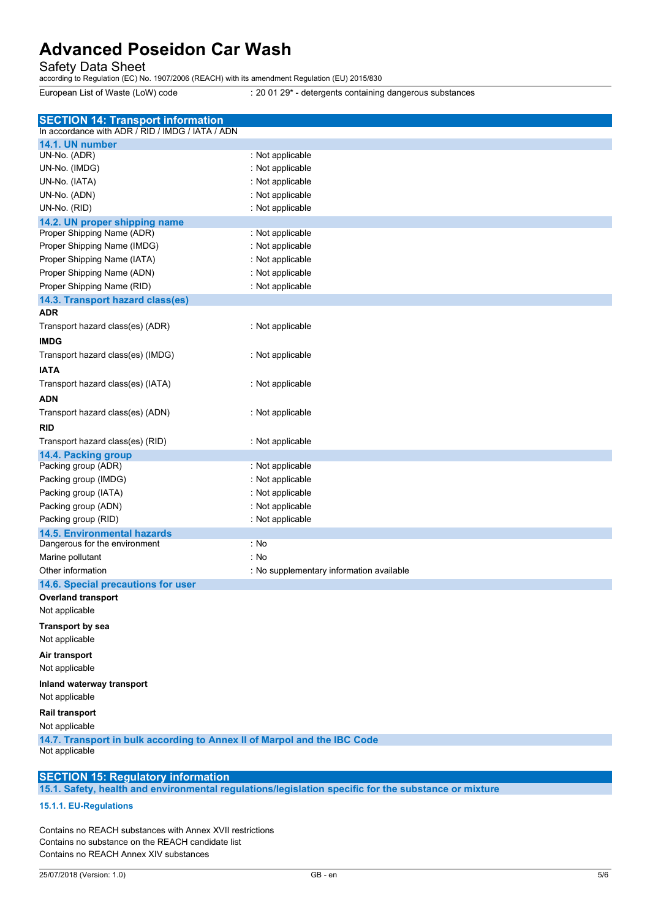| <b>Advanced Poseidon Car Wash</b><br>Safety Data Sheet<br>according to Regulation (EC) No. 1907/2006 (REACH) with its amendment Regulation (EU) 2015/830<br>European List of Waste (LoW) code<br>: 20 01 29* - detergents containing dangerous substances<br><b>SECTION 14: Transport information</b><br>In accordance with ADR / RID / IMDG / IATA / ADN<br>14.1. UN number<br>: Not applicable<br>UN-No. (ADR)<br>UN-No. (IMDG)<br>: Not applicable<br>UN-No. (IATA)<br>: Not applicable<br>UN-No. (ADN)<br>: Not applicable<br>UN-No. (RID)<br>: Not applicable<br>14.2. UN proper shipping name<br>: Not applicable<br>Proper Shipping Name (ADR)<br>Proper Shipping Name (IMDG)<br>: Not applicable<br>Proper Shipping Name (IATA)<br>: Not applicable<br>Proper Shipping Name (ADN)<br>: Not applicable<br>Proper Shipping Name (RID)<br>: Not applicable<br>14.3. Transport hazard class(es)<br><b>ADR</b><br>Transport hazard class(es) (ADR)<br>: Not applicable<br><b>IMDG</b><br>Transport hazard class(es) (IMDG)<br>: Not applicable<br><b>IATA</b><br>Transport hazard class(es) (IATA)<br>: Not applicable<br><b>ADN</b><br>Transport hazard class(es) (ADN)<br>: Not applicable<br><b>RID</b><br>Transport hazard class(es) (RID)<br>: Not applicable<br>14.4. Packing group<br>Packing group (ADR)<br>: Not applicable<br>Packing group (IMDG)<br>: Not applicable<br>Packing group (IATA)<br>: Not applicable<br>Packing group (ADN)<br>: Not applicable<br>Packing group (RID)<br>: Not applicable<br><b>14.5. Environmental hazards</b><br>: No<br>Dangerous for the environment<br>: No<br>Marine pollutant<br>Other information<br>: No supplementary information available<br>14.6. Special precautions for user<br><b>Overland transport</b><br>Not applicable<br>Transport by sea<br>Not applicable<br>Air transport<br>Not applicable<br>Inland waterway transport<br>Not applicable<br>Rail transport<br>Not applicable<br>14.7. Transport in bulk according to Annex II of Marpol and the IBC Code<br>Not applicable<br><b>SECTION 15: Regulatory information</b><br>15.1. Safety, health and environmental regulations/legislation specific for the substance or mixture<br>15.1.1. EU-Regulations<br>Contains no REACH substances with Annex XVII restrictions<br>Contains no substance on the REACH candidate list<br>Contains no REACH Annex XIV substances<br>25/07/2018 (Version: 1.0)<br>GB - en<br>5/6 |  |
|--------------------------------------------------------------------------------------------------------------------------------------------------------------------------------------------------------------------------------------------------------------------------------------------------------------------------------------------------------------------------------------------------------------------------------------------------------------------------------------------------------------------------------------------------------------------------------------------------------------------------------------------------------------------------------------------------------------------------------------------------------------------------------------------------------------------------------------------------------------------------------------------------------------------------------------------------------------------------------------------------------------------------------------------------------------------------------------------------------------------------------------------------------------------------------------------------------------------------------------------------------------------------------------------------------------------------------------------------------------------------------------------------------------------------------------------------------------------------------------------------------------------------------------------------------------------------------------------------------------------------------------------------------------------------------------------------------------------------------------------------------------------------------------------------------------------------------------------------------------------------------------------------------------------------------------------------------------------------------------------------------------------------------------------------------------------------------------------------------------------------------------------------------------------------------------------------------------------------------------------------------------------------------------------------------------------------------------------------------------------------------------------------------------------------------------------|--|
|                                                                                                                                                                                                                                                                                                                                                                                                                                                                                                                                                                                                                                                                                                                                                                                                                                                                                                                                                                                                                                                                                                                                                                                                                                                                                                                                                                                                                                                                                                                                                                                                                                                                                                                                                                                                                                                                                                                                                                                                                                                                                                                                                                                                                                                                                                                                                                                                                                            |  |
|                                                                                                                                                                                                                                                                                                                                                                                                                                                                                                                                                                                                                                                                                                                                                                                                                                                                                                                                                                                                                                                                                                                                                                                                                                                                                                                                                                                                                                                                                                                                                                                                                                                                                                                                                                                                                                                                                                                                                                                                                                                                                                                                                                                                                                                                                                                                                                                                                                            |  |
|                                                                                                                                                                                                                                                                                                                                                                                                                                                                                                                                                                                                                                                                                                                                                                                                                                                                                                                                                                                                                                                                                                                                                                                                                                                                                                                                                                                                                                                                                                                                                                                                                                                                                                                                                                                                                                                                                                                                                                                                                                                                                                                                                                                                                                                                                                                                                                                                                                            |  |
|                                                                                                                                                                                                                                                                                                                                                                                                                                                                                                                                                                                                                                                                                                                                                                                                                                                                                                                                                                                                                                                                                                                                                                                                                                                                                                                                                                                                                                                                                                                                                                                                                                                                                                                                                                                                                                                                                                                                                                                                                                                                                                                                                                                                                                                                                                                                                                                                                                            |  |
|                                                                                                                                                                                                                                                                                                                                                                                                                                                                                                                                                                                                                                                                                                                                                                                                                                                                                                                                                                                                                                                                                                                                                                                                                                                                                                                                                                                                                                                                                                                                                                                                                                                                                                                                                                                                                                                                                                                                                                                                                                                                                                                                                                                                                                                                                                                                                                                                                                            |  |
|                                                                                                                                                                                                                                                                                                                                                                                                                                                                                                                                                                                                                                                                                                                                                                                                                                                                                                                                                                                                                                                                                                                                                                                                                                                                                                                                                                                                                                                                                                                                                                                                                                                                                                                                                                                                                                                                                                                                                                                                                                                                                                                                                                                                                                                                                                                                                                                                                                            |  |
|                                                                                                                                                                                                                                                                                                                                                                                                                                                                                                                                                                                                                                                                                                                                                                                                                                                                                                                                                                                                                                                                                                                                                                                                                                                                                                                                                                                                                                                                                                                                                                                                                                                                                                                                                                                                                                                                                                                                                                                                                                                                                                                                                                                                                                                                                                                                                                                                                                            |  |
|                                                                                                                                                                                                                                                                                                                                                                                                                                                                                                                                                                                                                                                                                                                                                                                                                                                                                                                                                                                                                                                                                                                                                                                                                                                                                                                                                                                                                                                                                                                                                                                                                                                                                                                                                                                                                                                                                                                                                                                                                                                                                                                                                                                                                                                                                                                                                                                                                                            |  |
|                                                                                                                                                                                                                                                                                                                                                                                                                                                                                                                                                                                                                                                                                                                                                                                                                                                                                                                                                                                                                                                                                                                                                                                                                                                                                                                                                                                                                                                                                                                                                                                                                                                                                                                                                                                                                                                                                                                                                                                                                                                                                                                                                                                                                                                                                                                                                                                                                                            |  |
|                                                                                                                                                                                                                                                                                                                                                                                                                                                                                                                                                                                                                                                                                                                                                                                                                                                                                                                                                                                                                                                                                                                                                                                                                                                                                                                                                                                                                                                                                                                                                                                                                                                                                                                                                                                                                                                                                                                                                                                                                                                                                                                                                                                                                                                                                                                                                                                                                                            |  |
|                                                                                                                                                                                                                                                                                                                                                                                                                                                                                                                                                                                                                                                                                                                                                                                                                                                                                                                                                                                                                                                                                                                                                                                                                                                                                                                                                                                                                                                                                                                                                                                                                                                                                                                                                                                                                                                                                                                                                                                                                                                                                                                                                                                                                                                                                                                                                                                                                                            |  |
|                                                                                                                                                                                                                                                                                                                                                                                                                                                                                                                                                                                                                                                                                                                                                                                                                                                                                                                                                                                                                                                                                                                                                                                                                                                                                                                                                                                                                                                                                                                                                                                                                                                                                                                                                                                                                                                                                                                                                                                                                                                                                                                                                                                                                                                                                                                                                                                                                                            |  |
|                                                                                                                                                                                                                                                                                                                                                                                                                                                                                                                                                                                                                                                                                                                                                                                                                                                                                                                                                                                                                                                                                                                                                                                                                                                                                                                                                                                                                                                                                                                                                                                                                                                                                                                                                                                                                                                                                                                                                                                                                                                                                                                                                                                                                                                                                                                                                                                                                                            |  |
|                                                                                                                                                                                                                                                                                                                                                                                                                                                                                                                                                                                                                                                                                                                                                                                                                                                                                                                                                                                                                                                                                                                                                                                                                                                                                                                                                                                                                                                                                                                                                                                                                                                                                                                                                                                                                                                                                                                                                                                                                                                                                                                                                                                                                                                                                                                                                                                                                                            |  |
|                                                                                                                                                                                                                                                                                                                                                                                                                                                                                                                                                                                                                                                                                                                                                                                                                                                                                                                                                                                                                                                                                                                                                                                                                                                                                                                                                                                                                                                                                                                                                                                                                                                                                                                                                                                                                                                                                                                                                                                                                                                                                                                                                                                                                                                                                                                                                                                                                                            |  |
|                                                                                                                                                                                                                                                                                                                                                                                                                                                                                                                                                                                                                                                                                                                                                                                                                                                                                                                                                                                                                                                                                                                                                                                                                                                                                                                                                                                                                                                                                                                                                                                                                                                                                                                                                                                                                                                                                                                                                                                                                                                                                                                                                                                                                                                                                                                                                                                                                                            |  |
|                                                                                                                                                                                                                                                                                                                                                                                                                                                                                                                                                                                                                                                                                                                                                                                                                                                                                                                                                                                                                                                                                                                                                                                                                                                                                                                                                                                                                                                                                                                                                                                                                                                                                                                                                                                                                                                                                                                                                                                                                                                                                                                                                                                                                                                                                                                                                                                                                                            |  |
|                                                                                                                                                                                                                                                                                                                                                                                                                                                                                                                                                                                                                                                                                                                                                                                                                                                                                                                                                                                                                                                                                                                                                                                                                                                                                                                                                                                                                                                                                                                                                                                                                                                                                                                                                                                                                                                                                                                                                                                                                                                                                                                                                                                                                                                                                                                                                                                                                                            |  |
|                                                                                                                                                                                                                                                                                                                                                                                                                                                                                                                                                                                                                                                                                                                                                                                                                                                                                                                                                                                                                                                                                                                                                                                                                                                                                                                                                                                                                                                                                                                                                                                                                                                                                                                                                                                                                                                                                                                                                                                                                                                                                                                                                                                                                                                                                                                                                                                                                                            |  |
|                                                                                                                                                                                                                                                                                                                                                                                                                                                                                                                                                                                                                                                                                                                                                                                                                                                                                                                                                                                                                                                                                                                                                                                                                                                                                                                                                                                                                                                                                                                                                                                                                                                                                                                                                                                                                                                                                                                                                                                                                                                                                                                                                                                                                                                                                                                                                                                                                                            |  |
|                                                                                                                                                                                                                                                                                                                                                                                                                                                                                                                                                                                                                                                                                                                                                                                                                                                                                                                                                                                                                                                                                                                                                                                                                                                                                                                                                                                                                                                                                                                                                                                                                                                                                                                                                                                                                                                                                                                                                                                                                                                                                                                                                                                                                                                                                                                                                                                                                                            |  |
|                                                                                                                                                                                                                                                                                                                                                                                                                                                                                                                                                                                                                                                                                                                                                                                                                                                                                                                                                                                                                                                                                                                                                                                                                                                                                                                                                                                                                                                                                                                                                                                                                                                                                                                                                                                                                                                                                                                                                                                                                                                                                                                                                                                                                                                                                                                                                                                                                                            |  |
|                                                                                                                                                                                                                                                                                                                                                                                                                                                                                                                                                                                                                                                                                                                                                                                                                                                                                                                                                                                                                                                                                                                                                                                                                                                                                                                                                                                                                                                                                                                                                                                                                                                                                                                                                                                                                                                                                                                                                                                                                                                                                                                                                                                                                                                                                                                                                                                                                                            |  |
|                                                                                                                                                                                                                                                                                                                                                                                                                                                                                                                                                                                                                                                                                                                                                                                                                                                                                                                                                                                                                                                                                                                                                                                                                                                                                                                                                                                                                                                                                                                                                                                                                                                                                                                                                                                                                                                                                                                                                                                                                                                                                                                                                                                                                                                                                                                                                                                                                                            |  |
|                                                                                                                                                                                                                                                                                                                                                                                                                                                                                                                                                                                                                                                                                                                                                                                                                                                                                                                                                                                                                                                                                                                                                                                                                                                                                                                                                                                                                                                                                                                                                                                                                                                                                                                                                                                                                                                                                                                                                                                                                                                                                                                                                                                                                                                                                                                                                                                                                                            |  |
|                                                                                                                                                                                                                                                                                                                                                                                                                                                                                                                                                                                                                                                                                                                                                                                                                                                                                                                                                                                                                                                                                                                                                                                                                                                                                                                                                                                                                                                                                                                                                                                                                                                                                                                                                                                                                                                                                                                                                                                                                                                                                                                                                                                                                                                                                                                                                                                                                                            |  |
|                                                                                                                                                                                                                                                                                                                                                                                                                                                                                                                                                                                                                                                                                                                                                                                                                                                                                                                                                                                                                                                                                                                                                                                                                                                                                                                                                                                                                                                                                                                                                                                                                                                                                                                                                                                                                                                                                                                                                                                                                                                                                                                                                                                                                                                                                                                                                                                                                                            |  |
|                                                                                                                                                                                                                                                                                                                                                                                                                                                                                                                                                                                                                                                                                                                                                                                                                                                                                                                                                                                                                                                                                                                                                                                                                                                                                                                                                                                                                                                                                                                                                                                                                                                                                                                                                                                                                                                                                                                                                                                                                                                                                                                                                                                                                                                                                                                                                                                                                                            |  |
|                                                                                                                                                                                                                                                                                                                                                                                                                                                                                                                                                                                                                                                                                                                                                                                                                                                                                                                                                                                                                                                                                                                                                                                                                                                                                                                                                                                                                                                                                                                                                                                                                                                                                                                                                                                                                                                                                                                                                                                                                                                                                                                                                                                                                                                                                                                                                                                                                                            |  |
|                                                                                                                                                                                                                                                                                                                                                                                                                                                                                                                                                                                                                                                                                                                                                                                                                                                                                                                                                                                                                                                                                                                                                                                                                                                                                                                                                                                                                                                                                                                                                                                                                                                                                                                                                                                                                                                                                                                                                                                                                                                                                                                                                                                                                                                                                                                                                                                                                                            |  |
|                                                                                                                                                                                                                                                                                                                                                                                                                                                                                                                                                                                                                                                                                                                                                                                                                                                                                                                                                                                                                                                                                                                                                                                                                                                                                                                                                                                                                                                                                                                                                                                                                                                                                                                                                                                                                                                                                                                                                                                                                                                                                                                                                                                                                                                                                                                                                                                                                                            |  |
|                                                                                                                                                                                                                                                                                                                                                                                                                                                                                                                                                                                                                                                                                                                                                                                                                                                                                                                                                                                                                                                                                                                                                                                                                                                                                                                                                                                                                                                                                                                                                                                                                                                                                                                                                                                                                                                                                                                                                                                                                                                                                                                                                                                                                                                                                                                                                                                                                                            |  |
|                                                                                                                                                                                                                                                                                                                                                                                                                                                                                                                                                                                                                                                                                                                                                                                                                                                                                                                                                                                                                                                                                                                                                                                                                                                                                                                                                                                                                                                                                                                                                                                                                                                                                                                                                                                                                                                                                                                                                                                                                                                                                                                                                                                                                                                                                                                                                                                                                                            |  |
|                                                                                                                                                                                                                                                                                                                                                                                                                                                                                                                                                                                                                                                                                                                                                                                                                                                                                                                                                                                                                                                                                                                                                                                                                                                                                                                                                                                                                                                                                                                                                                                                                                                                                                                                                                                                                                                                                                                                                                                                                                                                                                                                                                                                                                                                                                                                                                                                                                            |  |
|                                                                                                                                                                                                                                                                                                                                                                                                                                                                                                                                                                                                                                                                                                                                                                                                                                                                                                                                                                                                                                                                                                                                                                                                                                                                                                                                                                                                                                                                                                                                                                                                                                                                                                                                                                                                                                                                                                                                                                                                                                                                                                                                                                                                                                                                                                                                                                                                                                            |  |
|                                                                                                                                                                                                                                                                                                                                                                                                                                                                                                                                                                                                                                                                                                                                                                                                                                                                                                                                                                                                                                                                                                                                                                                                                                                                                                                                                                                                                                                                                                                                                                                                                                                                                                                                                                                                                                                                                                                                                                                                                                                                                                                                                                                                                                                                                                                                                                                                                                            |  |
|                                                                                                                                                                                                                                                                                                                                                                                                                                                                                                                                                                                                                                                                                                                                                                                                                                                                                                                                                                                                                                                                                                                                                                                                                                                                                                                                                                                                                                                                                                                                                                                                                                                                                                                                                                                                                                                                                                                                                                                                                                                                                                                                                                                                                                                                                                                                                                                                                                            |  |
|                                                                                                                                                                                                                                                                                                                                                                                                                                                                                                                                                                                                                                                                                                                                                                                                                                                                                                                                                                                                                                                                                                                                                                                                                                                                                                                                                                                                                                                                                                                                                                                                                                                                                                                                                                                                                                                                                                                                                                                                                                                                                                                                                                                                                                                                                                                                                                                                                                            |  |
|                                                                                                                                                                                                                                                                                                                                                                                                                                                                                                                                                                                                                                                                                                                                                                                                                                                                                                                                                                                                                                                                                                                                                                                                                                                                                                                                                                                                                                                                                                                                                                                                                                                                                                                                                                                                                                                                                                                                                                                                                                                                                                                                                                                                                                                                                                                                                                                                                                            |  |
|                                                                                                                                                                                                                                                                                                                                                                                                                                                                                                                                                                                                                                                                                                                                                                                                                                                                                                                                                                                                                                                                                                                                                                                                                                                                                                                                                                                                                                                                                                                                                                                                                                                                                                                                                                                                                                                                                                                                                                                                                                                                                                                                                                                                                                                                                                                                                                                                                                            |  |
|                                                                                                                                                                                                                                                                                                                                                                                                                                                                                                                                                                                                                                                                                                                                                                                                                                                                                                                                                                                                                                                                                                                                                                                                                                                                                                                                                                                                                                                                                                                                                                                                                                                                                                                                                                                                                                                                                                                                                                                                                                                                                                                                                                                                                                                                                                                                                                                                                                            |  |
|                                                                                                                                                                                                                                                                                                                                                                                                                                                                                                                                                                                                                                                                                                                                                                                                                                                                                                                                                                                                                                                                                                                                                                                                                                                                                                                                                                                                                                                                                                                                                                                                                                                                                                                                                                                                                                                                                                                                                                                                                                                                                                                                                                                                                                                                                                                                                                                                                                            |  |
|                                                                                                                                                                                                                                                                                                                                                                                                                                                                                                                                                                                                                                                                                                                                                                                                                                                                                                                                                                                                                                                                                                                                                                                                                                                                                                                                                                                                                                                                                                                                                                                                                                                                                                                                                                                                                                                                                                                                                                                                                                                                                                                                                                                                                                                                                                                                                                                                                                            |  |
|                                                                                                                                                                                                                                                                                                                                                                                                                                                                                                                                                                                                                                                                                                                                                                                                                                                                                                                                                                                                                                                                                                                                                                                                                                                                                                                                                                                                                                                                                                                                                                                                                                                                                                                                                                                                                                                                                                                                                                                                                                                                                                                                                                                                                                                                                                                                                                                                                                            |  |
|                                                                                                                                                                                                                                                                                                                                                                                                                                                                                                                                                                                                                                                                                                                                                                                                                                                                                                                                                                                                                                                                                                                                                                                                                                                                                                                                                                                                                                                                                                                                                                                                                                                                                                                                                                                                                                                                                                                                                                                                                                                                                                                                                                                                                                                                                                                                                                                                                                            |  |
|                                                                                                                                                                                                                                                                                                                                                                                                                                                                                                                                                                                                                                                                                                                                                                                                                                                                                                                                                                                                                                                                                                                                                                                                                                                                                                                                                                                                                                                                                                                                                                                                                                                                                                                                                                                                                                                                                                                                                                                                                                                                                                                                                                                                                                                                                                                                                                                                                                            |  |
|                                                                                                                                                                                                                                                                                                                                                                                                                                                                                                                                                                                                                                                                                                                                                                                                                                                                                                                                                                                                                                                                                                                                                                                                                                                                                                                                                                                                                                                                                                                                                                                                                                                                                                                                                                                                                                                                                                                                                                                                                                                                                                                                                                                                                                                                                                                                                                                                                                            |  |
|                                                                                                                                                                                                                                                                                                                                                                                                                                                                                                                                                                                                                                                                                                                                                                                                                                                                                                                                                                                                                                                                                                                                                                                                                                                                                                                                                                                                                                                                                                                                                                                                                                                                                                                                                                                                                                                                                                                                                                                                                                                                                                                                                                                                                                                                                                                                                                                                                                            |  |
|                                                                                                                                                                                                                                                                                                                                                                                                                                                                                                                                                                                                                                                                                                                                                                                                                                                                                                                                                                                                                                                                                                                                                                                                                                                                                                                                                                                                                                                                                                                                                                                                                                                                                                                                                                                                                                                                                                                                                                                                                                                                                                                                                                                                                                                                                                                                                                                                                                            |  |

### 15.1.1. EU-Regulations